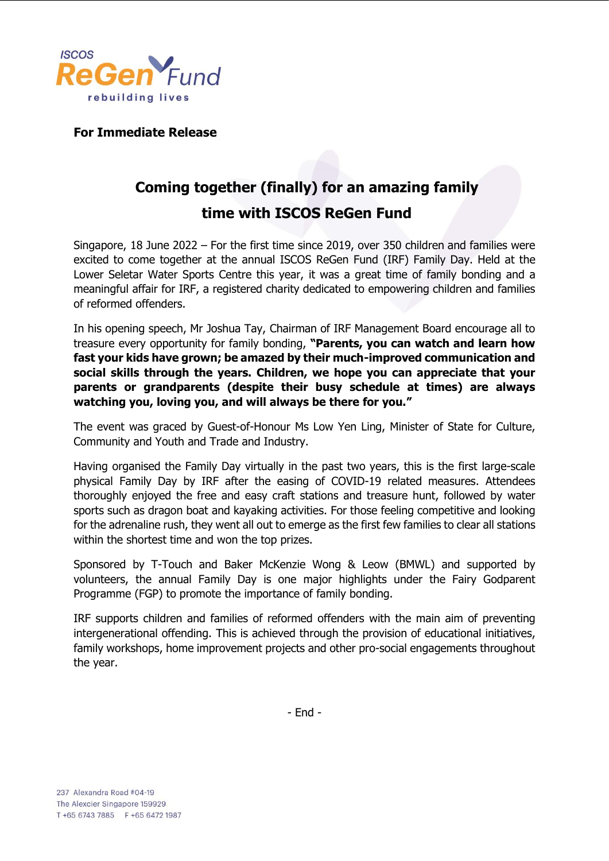

**For Immediate Release**

## **Coming together (finally) for an amazing family time with ISCOS ReGen Fund**

Singapore, 18 June 2022 – For the first time since 2019, over 350 children and families were excited to come together at the annual ISCOS ReGen Fund (IRF) Family Day. Held at the Lower Seletar Water Sports Centre this year, it was a great time of family bonding and a meaningful affair for IRF, a registered charity dedicated to empowering children and families of reformed offenders.

In his opening speech, Mr Joshua Tay, Chairman of IRF Management Board encourage all to treasure every opportunity for family bonding, **"Parents, you can watch and learn how fast your kids have grown; be amazed by their much-improved communication and social skills through the years. Children, we hope you can appreciate that your parents or grandparents (despite their busy schedule at times) are always watching you, loving you, and will always be there for you."**

The event was graced by Guest-of-Honour Ms Low Yen Ling, Minister of State for Culture, Community and Youth and Trade and Industry.

Having organised the Family Day virtually in the past two years, this is the first large-scale physical Family Day by IRF after the easing of COVID-19 related measures. Attendees thoroughly enjoyed the free and easy craft stations and treasure hunt, followed by water sports such as dragon boat and kayaking activities. For those feeling competitive and looking for the adrenaline rush, they went all out to emerge as the first few families to clear all stations within the shortest time and won the top prizes.

Sponsored by T-Touch and Baker McKenzie Wong & Leow (BMWL) and supported by volunteers, the annual Family Day is one major highlights under the Fairy Godparent Programme (FGP) to promote the importance of family bonding.

IRF supports children and families of reformed offenders with the main aim of preventing intergenerational offending. This is achieved through the provision of educational initiatives, family workshops, home improvement projects and other pro-social engagements throughout the year.

- End -